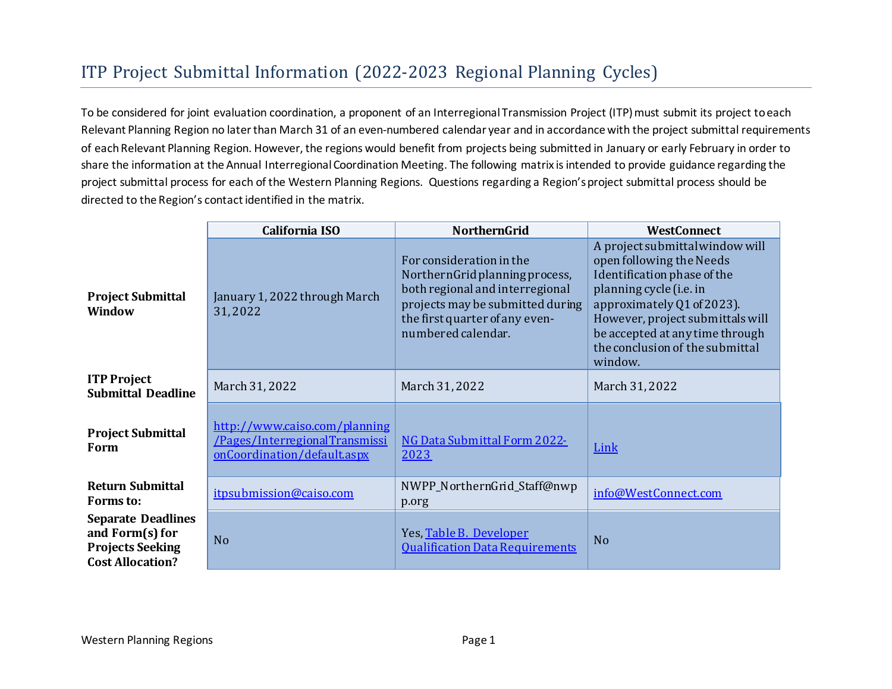## ITP Project Submittal Information (2022-2023 Regional Planning Cycles)

To be considered for joint evaluation coordination, a proponent of an Interregional Transmission Project (ITP) must submit its project to each Relevant Planning Region no later than March 31 of an even-numbered calendar year and in accordance with the project submittal requirements of each Relevant Planning Region. However, the regions would benefit from projects being submitted in January or early February in order to share the information at the Annual Interregional Coordination Meeting. The following matrix is intended to provide guidance regarding the project submittal process for each of the Western Planning Regions. Questions regarding a Region's project submittal process should be directed to the Region's contact identified in the matrix.

|                                                                                                    | California ISO                                                                                | <b>NorthernGrid</b>                                                                                                                                                                       | <b>WestConnect</b>                                                                                                                                                                                                                                                       |
|----------------------------------------------------------------------------------------------------|-----------------------------------------------------------------------------------------------|-------------------------------------------------------------------------------------------------------------------------------------------------------------------------------------------|--------------------------------------------------------------------------------------------------------------------------------------------------------------------------------------------------------------------------------------------------------------------------|
| <b>Project Submittal</b><br>Window                                                                 | January 1, 2022 through March<br>31,2022                                                      | For consideration in the<br>NorthernGrid planning process,<br>both regional and interregional<br>projects may be submitted during<br>the first quarter of any even-<br>numbered calendar. | A project submittal window will<br>open following the Needs<br>Identification phase of the<br>planning cycle (i.e. in<br>approximately Q1 of 2023).<br>However, project submittals will<br>be accepted at any time through<br>the conclusion of the submittal<br>window. |
| <b>ITP Project</b><br><b>Submittal Deadline</b>                                                    | March 31, 2022                                                                                | March 31, 2022                                                                                                                                                                            | March 31, 2022                                                                                                                                                                                                                                                           |
| <b>Project Submittal</b><br>Form                                                                   | http://www.caiso.com/planning<br>/Pages/InterregionalTransmissi<br>onCoordination/defaultaspx | NG Data Submittal Form 2022-<br>2023                                                                                                                                                      | Link                                                                                                                                                                                                                                                                     |
| <b>Return Submittal</b><br>Forms to:                                                               | itpsubmission@caiso.com                                                                       | NWPP_NorthernGrid_Staff@nwp<br>p.org                                                                                                                                                      | info@WestConnect.com                                                                                                                                                                                                                                                     |
| <b>Separate Deadlines</b><br>and Form(s) for<br><b>Projects Seeking</b><br><b>Cost Allocation?</b> | N <sub>o</sub>                                                                                | Yes, Table B. Developer<br><b>Qualification Data Requirements</b>                                                                                                                         | N <sub>o</sub>                                                                                                                                                                                                                                                           |